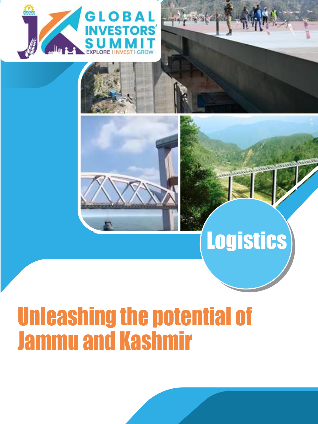



# **Logistics**

# Unleashing the potential of Jammu and Kashmir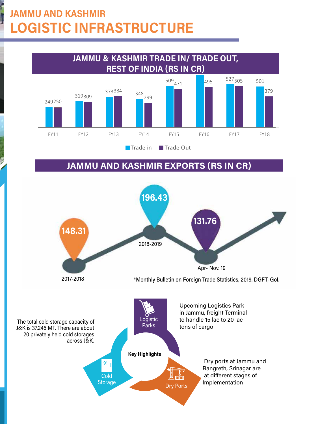## JAMMU AND KASHMIR **IC INFRASTRUCTURE**



#### JAMMU AND KASHMIR EXPORTS (RS IN CR)

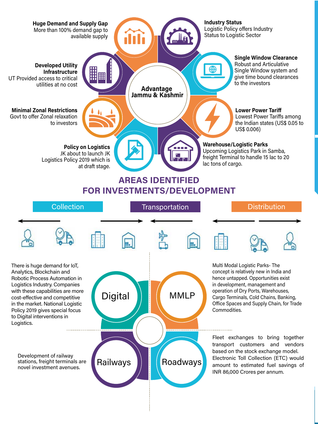